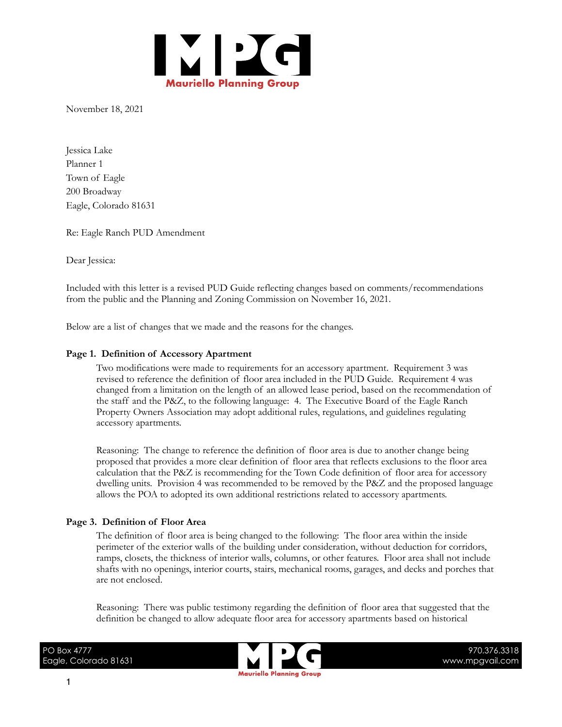

November 18, 2021

Jessica Lake Planner 1 Town of Eagle 200 Broadway Eagle, Colorado 81631

Re: Eagle Ranch PUD Amendment

Dear Jessica:

Included with this letter is a revised PUD Guide reflecting changes based on comments/recommendations from the public and the Planning and Zoning Commission on November 16, 2021.

Below are a list of changes that we made and the reasons for the changes.

## **Page 1. Definition of Accessory Apartment**

Two modifications were made to requirements for an accessory apartment. Requirement 3 was revised to reference the definition of floor area included in the PUD Guide. Requirement 4 was changed from a limitation on the length of an allowed lease period, based on the recommendation of the staff and the P&Z, to the following language: 4. The Executive Board of the Eagle Ranch Property Owners Association may adopt additional rules, regulations, and guidelines regulating accessory apartments.

Reasoning: The change to reference the definition of floor area is due to another change being proposed that provides a more clear definition of floor area that reflects exclusions to the floor area calculation that the P&Z is recommending for the Town Code definition of floor area for accessory dwelling units. Provision 4 was recommended to be removed by the P&Z and the proposed language allows the POA to adopted its own additional restrictions related to accessory apartments.

# **Page 3. Definition of Floor Area**

The definition of floor area is being changed to the following: The floor area within the inside perimeter of the exterior walls of the building under consideration, without deduction for corridors, ramps, closets, the thickness of interior walls, columns, or other features. Floor area shall not include shafts with no openings, interior courts, stairs, mechanical rooms, garages, and decks and porches that are not enclosed.

Reasoning: There was public testimony regarding the definition of floor area that suggested that the definition be changed to allow adequate floor area for accessory apartments based on historical

PO Box 4777 Eagle, Colorado 81631



970.376.3318 www.mpgvail.com